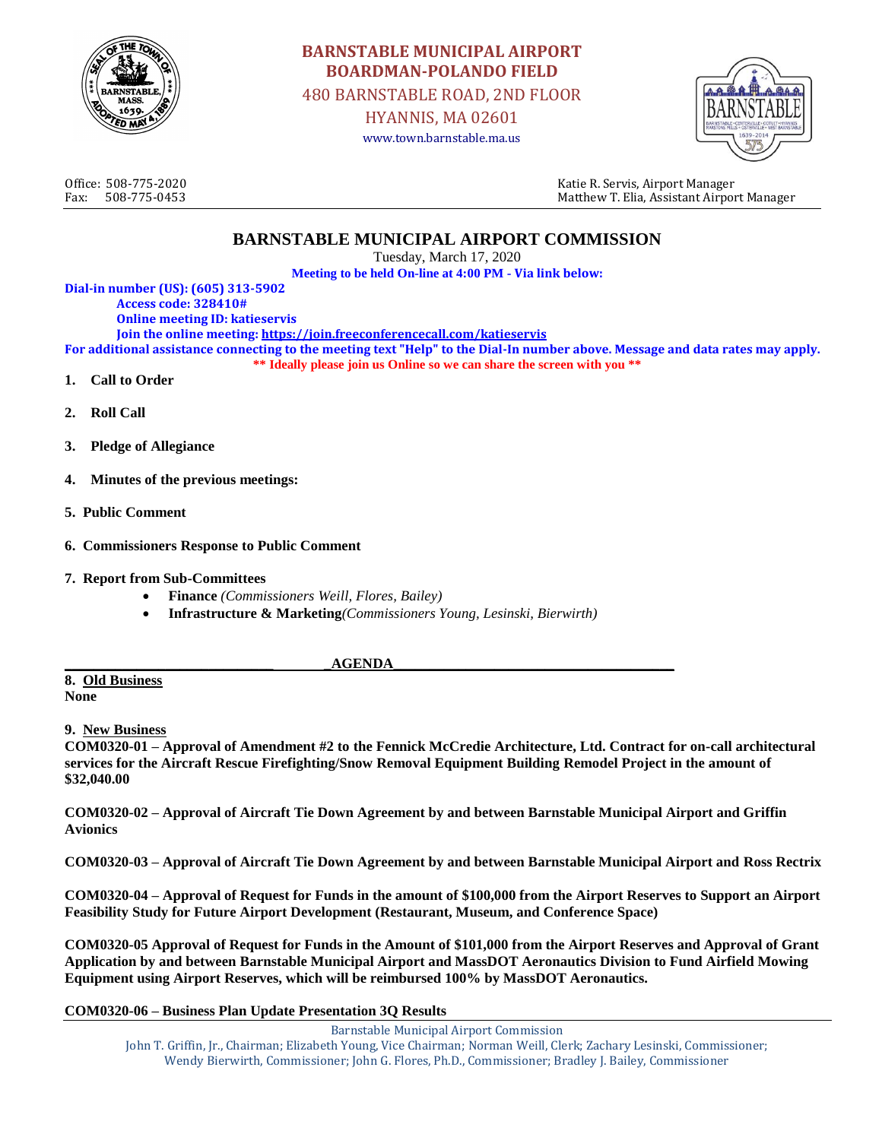

# **BARNSTABLE MUNICIPAL AIRPORT BOARDMAN-POLANDO FIELD**

480 BARNSTABLE ROAD, 2ND FLOOR

HYANNIS, MA 02601 www.town.barnstable.ma.us



Office: 508-775-2020 Katie R. Servis, Airport Manager Fax: 508-775-0453 Matthew T. Elia, Assistant Airport Manager

### **BARNSTABLE MUNICIPAL AIRPORT COMMISSION**

Tuesday, March 17, 2020

**Meeting to be held On-line at 4:00 PM - Via link below:**

**Dial-in number (US): (605) 313-5902 Access code: 328410# Online meeting ID: katieservis Join the online meeting[: https://join.freeconferencecall.com/katieservis](https://join.freeconferencecall.com/katieservis) For additional assistance connecting to the meeting text "Help" to the Dial-In number above. Message and data rates may apply. \*\* Ideally please join us Online so we can share the screen with you \*\* 1. Call to Order** 

- **2. Roll Call**
- **3. Pledge of Allegiance**
- **4. Minutes of the previous meetings:**
- **5. Public Comment**
- **6. Commissioners Response to Public Comment**
- **7. Report from Sub-Committees**
	- **Finance** *(Commissioners Weill, Flores, Bailey)*
	- **Infrastructure & Marketing***(Commissioners Young, Lesinski, Bierwirth)*

#### **\_\_\_\_\_\_\_\_\_\_\_\_\_\_\_\_\_\_\_\_\_\_\_\_\_\_\_\_\_ \_AGENDA\_\_\_\_\_\_\_\_\_\_\_\_\_\_\_\_\_\_\_\_\_\_\_\_\_\_\_\_\_\_\_\_\_\_\_\_\_\_\_**

**8. Old Business None**

#### **9. New Business**

**COM0320-01 – Approval of Amendment #2 to the Fennick McCredie Architecture, Ltd. Contract for on-call architectural services for the Aircraft Rescue Firefighting/Snow Removal Equipment Building Remodel Project in the amount of \$32,040.00**

**COM0320-02 – Approval of Aircraft Tie Down Agreement by and between Barnstable Municipal Airport and Griffin Avionics**

**COM0320-03 – Approval of Aircraft Tie Down Agreement by and between Barnstable Municipal Airport and Ross Rectrix**

**COM0320-04 – Approval of Request for Funds in the amount of \$100,000 from the Airport Reserves to Support an Airport Feasibility Study for Future Airport Development (Restaurant, Museum, and Conference Space)**

**COM0320-05 Approval of Request for Funds in the Amount of \$101,000 from the Airport Reserves and Approval of Grant Application by and between Barnstable Municipal Airport and MassDOT Aeronautics Division to Fund Airfield Mowing Equipment using Airport Reserves, which will be reimbursed 100% by MassDOT Aeronautics.**

#### **COM0320-06 – Business Plan Update Presentation 3Q Results**

Barnstable Municipal Airport Commission John T. Griffin, Jr., Chairman; Elizabeth Young, Vice Chairman; Norman Weill, Clerk; Zachary Lesinski, Commissioner; Wendy Bierwirth, Commissioner; John G. Flores, Ph.D., Commissioner; Bradley J. Bailey, Commissioner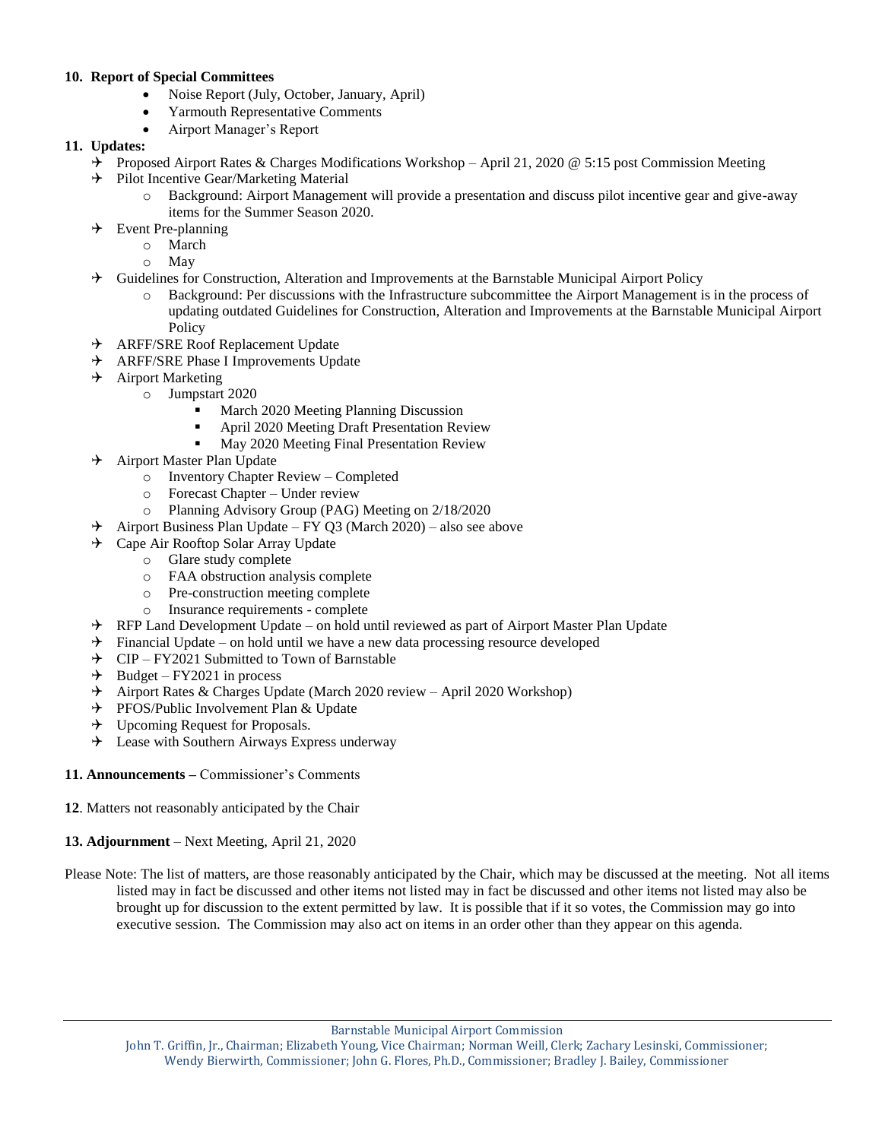### **10. Report of Special Committees**

- Noise Report (July, October, January, April)
- Yarmouth Representative Comments
- Airport Manager's Report

### **11. Updates:**

- $\rightarrow$  Proposed Airport Rates & Charges Modifications Workshop April 21, 2020 @ 5:15 post Commission Meeting
- $\rightarrow$  Pilot Incentive Gear/Marketing Material
	- o Background: Airport Management will provide a presentation and discuss pilot incentive gear and give-away items for the Summer Season 2020.
- $\rightarrow$  Event Pre-planning
	- o March
	- o May
- $\rightarrow$  Guidelines for Construction, Alteration and Improvements at the Barnstable Municipal Airport Policy
	- o Background: Per discussions with the Infrastructure subcommittee the Airport Management is in the process of updating outdated Guidelines for Construction, Alteration and Improvements at the Barnstable Municipal Airport Policy
- ARFF/SRE Roof Replacement Update
- → ARFF/SRE Phase I Improvements Update
- $\rightarrow$  Airport Marketing
	- o Jumpstart 2020
		- March 2020 Meeting Planning Discussion<br>• April 2020 Meeting Draft Presentation Rev
		- April 2020 Meeting Draft Presentation Review
		- **May 2020 Meeting Final Presentation Review**
- $\rightarrow$  Airport Master Plan Update
	- o Inventory Chapter Review Completed
	- o Forecast Chapter Under review
	- o Planning Advisory Group (PAG) Meeting on 2/18/2020
- $\rightarrow$  Airport Business Plan Update FY Q3 (March 2020) also see above
- $\rightarrow$  Cape Air Rooftop Solar Array Update
	- o Glare study complete
	- o FAA obstruction analysis complete
	- o Pre-construction meeting complete
	- o Insurance requirements complete
- RFP Land Development Update on hold until reviewed as part of Airport Master Plan Update
- $\rightarrow$  Financial Update on hold until we have a new data processing resource developed
- $\angle$  CIP FY2021 Submitted to Town of Barnstable<br>  $\angle$  Budget FY2021 in process
- Budget FY2021 in process
- $\rightarrow$  Airport Rates & Charges Update (March 2020 review April 2020 Workshop)
- $\rightarrow$  PFOS/Public Involvement Plan & Update
- $\rightarrow$  Upcoming Request for Proposals.
- $\rightarrow$  Lease with Southern Airways Express underway
- **11. Announcements –** Commissioner's Comments
- **12**. Matters not reasonably anticipated by the Chair
- **13. Adjournment** Next Meeting, April 21, 2020
- Please Note: The list of matters, are those reasonably anticipated by the Chair, which may be discussed at the meeting. Not all items listed may in fact be discussed and other items not listed may in fact be discussed and other items not listed may also be brought up for discussion to the extent permitted by law. It is possible that if it so votes, the Commission may go into executive session. The Commission may also act on items in an order other than they appear on this agenda.

Barnstable Municipal Airport Commission

John T. Griffin, Jr., Chairman; Elizabeth Young, Vice Chairman; Norman Weill, Clerk; Zachary Lesinski, Commissioner; Wendy Bierwirth, Commissioner; John G. Flores, Ph.D., Commissioner; Bradley J. Bailey, Commissioner